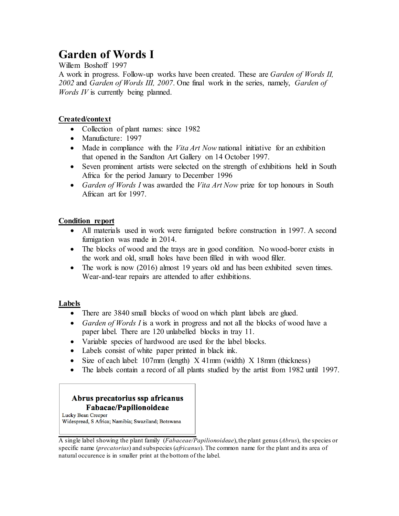# **Garden of Words I**

Willem Boshoff 1997

A work in progress. Follow-up works have been created. These are *Garden of Words II, 2002* and *Garden of Words III, 2007*. One final work in the series, namely, *Garden of Words IV* is currently being planned.

# **Created/context**

- Collection of plant names: since 1982
- Manufacture: 1997
- Made in compliance with the *Vita Art Now* national initiative for an exhibition that opened in the Sandton Art Gallery on 14 October 1997.
- Seven prominent artists were selected on the strength of exhibitions held in South Africa for the period January to December 1996
- *Garden of Words I* was awarded the *Vita Art Now* prize for top honours in South African art for 1997.

# **Condition report**

- All materials used in work were fumigated before construction in 1997. A second fumigation was made in 2014.
- The blocks of wood and the trays are in good condition. No wood-borer exists in the work and old, small holes have been filled in with wood filler.
- The work is now (2016) almost 19 years old and has been exhibited seven times. Wear-and-tear repairs are attended to after exhibitions.

# **Labels**

- There are 3840 small blocks of wood on which plant labels are glued.
- *Garden of Words I* is a work in progress and not all the blocks of wood have a paper label. There are 120 unlabelled blocks in tray 11.
- Variable species of hardwood are used for the label blocks.
- Labels consist of white paper printed in black ink.
- Size of each label: 107mm (length) X 41mm (width) X 18mm (thickness)
- The labels contain a record of all plants studied by the artist from 1982 until 1997.

# Abrus precatorius ssp africanus Fabacae/Papilionoideae

Lucky Bean Creeper Widespread, S Africa; Namibia; Swaziland; Botswana

A single label showing the plant family (*Fabaceae/Papilionoideae*), the plant genus (*Abrus*), the species or specific name (*precatorius*) and subspecies (*africanus*). The common name for the plant and its area of natural occurence is in smaller print at the bottom of the label.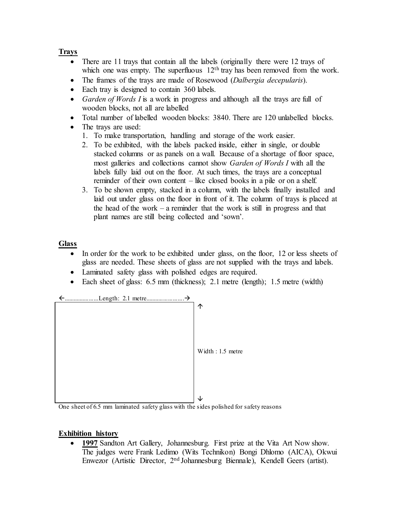# **Trays**

- There are 11 trays that contain all the labels (originally there were 12 trays of which one was empty. The superfluous  $12<sup>th</sup>$  tray has been removed from the work.
- The frames of the trays are made of Rosewood (*Dalbergia decepularis*).
- Each tray is designed to contain 360 labels.
- *Garden of Words I* is a work in progress and although all the trays are full of wooden blocks, not all are labelled
- Total number of labelled wooden blocks: 3840. There are 120 unlabelled blocks.
- The trays are used:
	- 1. To make transportation, handling and storage of the work easier.
	- 2. To be exhibited, with the labels packed inside, either in single, or double stacked columns or as panels on a wall. Because of a shortage of floor space, most galleries and collections cannot show *Garden of Words I* with all the labels fully laid out on the floor. At such times, the trays are a conceptual reminder of their own content – like closed books in a pile or on a shelf.
	- 3. To be shown empty, stacked in a column, with the labels finally installed and laid out under glass on the floor in front of it. The column of trays is placed at the head of the work – a reminder that the work is still in progress and that plant names are still being collected and 'sown'.

# **Glass**

- In order for the work to be exhibited under glass, on the floor, 12 or less sheets of glass are needed. These sheets of glass are not supplied with the trays and labels.
- Laminated safety glass with polished edges are required.
- Each sheet of glass: 6.5 mm (thickness); 2.1 metre (length); 1.5 metre (width)



One sheet of 6.5 mm laminated safety glass with the sides polished for safety reasons

# **Exhibition history**

• **1997** Sandton Art Gallery, Johannesburg. First prize at the Vita Art Now show. The judges were Frank Ledimo (Wits Technikon) Bongi Dhlomo (AICA), Okwui Enwezor (Artistic Director, 2nd Johannesburg Biennale), Kendell Geers (artist).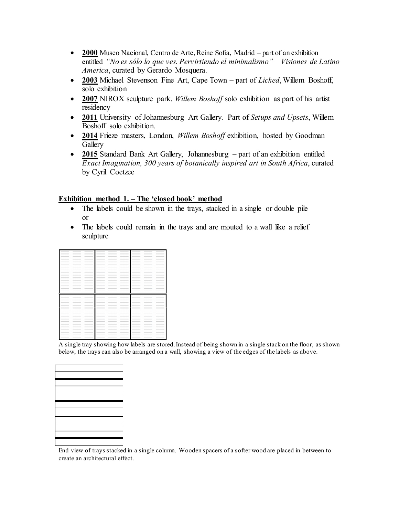- **2000** Museo Nacional, Centro de Arte, Reine Sofia, Madrid part of an exhibition entitled *"No es sólo lo que ves. Pervirtiendo el minimalismo" – Visiones de Latino America*, curated by Gerardo Mosquera.
- **2003** Michael Stevenson Fine Art, Cape Town part of *Licked*, Willem Boshoff, solo exhibition
- **2007** NIROX sculpture park. *Willem Boshoff* solo exhibition as part of his artist residency
- **2011** University of Johannesburg Art Gallery. Part of *Setups and Upsets*, Willem Boshoff solo exhibition.
- **2014** Frieze masters, London, *Willem Boshoff* exhibition, hosted by Goodman **Gallery**
- **2015** Standard Bank Art Gallery, Johannesburg part of an exhibition entitled *Exact Imagination, 300 years of botanically inspired art in South Africa*, curated by Cyril Coetzee

#### **Exhibition method 1. – The 'closed book' method**

- The labels could be shown in the trays, stacked in a single or double pile or
- The labels could remain in the trays and are mouted to a wall like a relief sculpture

|                                                                                                                                                                                                                                                                                                                                                                                                                                                                            |                                                                                                                                                                                                                                                                                                                                                                                                                                                                            | ___                                                                                                                                                                                                                                                                                                                                                                                                                                                                                                                                                                                                                                                                                                                                                                                                                                                                                                                                                      |                                                                                                                                                                                                                                                                                                                                                                                                                                                                            |                                                                                                                                                                                                                                                                                                                                                                                                                                                                            | ___                                                                                                                                                                                                                                                                                                                                                                                                                                                                        |                                                                                                                                                                                                                                                                                                                                                                                                                                                                                                         |                                                                                                                                                                                                                                                                                                                                                                                                                                                                            |                                                                                                                                                                                                                                                                                                                                                                                                                                                                            |
|----------------------------------------------------------------------------------------------------------------------------------------------------------------------------------------------------------------------------------------------------------------------------------------------------------------------------------------------------------------------------------------------------------------------------------------------------------------------------|----------------------------------------------------------------------------------------------------------------------------------------------------------------------------------------------------------------------------------------------------------------------------------------------------------------------------------------------------------------------------------------------------------------------------------------------------------------------------|----------------------------------------------------------------------------------------------------------------------------------------------------------------------------------------------------------------------------------------------------------------------------------------------------------------------------------------------------------------------------------------------------------------------------------------------------------------------------------------------------------------------------------------------------------------------------------------------------------------------------------------------------------------------------------------------------------------------------------------------------------------------------------------------------------------------------------------------------------------------------------------------------------------------------------------------------------|----------------------------------------------------------------------------------------------------------------------------------------------------------------------------------------------------------------------------------------------------------------------------------------------------------------------------------------------------------------------------------------------------------------------------------------------------------------------------|----------------------------------------------------------------------------------------------------------------------------------------------------------------------------------------------------------------------------------------------------------------------------------------------------------------------------------------------------------------------------------------------------------------------------------------------------------------------------|----------------------------------------------------------------------------------------------------------------------------------------------------------------------------------------------------------------------------------------------------------------------------------------------------------------------------------------------------------------------------------------------------------------------------------------------------------------------------|---------------------------------------------------------------------------------------------------------------------------------------------------------------------------------------------------------------------------------------------------------------------------------------------------------------------------------------------------------------------------------------------------------------------------------------------------------------------------------------------------------|----------------------------------------------------------------------------------------------------------------------------------------------------------------------------------------------------------------------------------------------------------------------------------------------------------------------------------------------------------------------------------------------------------------------------------------------------------------------------|----------------------------------------------------------------------------------------------------------------------------------------------------------------------------------------------------------------------------------------------------------------------------------------------------------------------------------------------------------------------------------------------------------------------------------------------------------------------------|
|                                                                                                                                                                                                                                                                                                                                                                                                                                                                            |                                                                                                                                                                                                                                                                                                                                                                                                                                                                            |                                                                                                                                                                                                                                                                                                                                                                                                                                                                                                                                                                                                                                                                                                                                                                                                                                                                                                                                                          |                                                                                                                                                                                                                                                                                                                                                                                                                                                                            |                                                                                                                                                                                                                                                                                                                                                                                                                                                                            |                                                                                                                                                                                                                                                                                                                                                                                                                                                                            |                                                                                                                                                                                                                                                                                                                                                                                                                                                                                                         | _____                                                                                                                                                                                                                                                                                                                                                                                                                                                                      |                                                                                                                                                                                                                                                                                                                                                                                                                                                                            |
| ____                                                                                                                                                                                                                                                                                                                                                                                                                                                                       | ____                                                                                                                                                                                                                                                                                                                                                                                                                                                                       | ____                                                                                                                                                                                                                                                                                                                                                                                                                                                                                                                                                                                                                                                                                                                                                                                                                                                                                                                                                     |                                                                                                                                                                                                                                                                                                                                                                                                                                                                            | ____                                                                                                                                                                                                                                                                                                                                                                                                                                                                       | ____                                                                                                                                                                                                                                                                                                                                                                                                                                                                       |                                                                                                                                                                                                                                                                                                                                                                                                                                                                                                         | ____                                                                                                                                                                                                                                                                                                                                                                                                                                                                       | ____                                                                                                                                                                                                                                                                                                                                                                                                                                                                       |
| product the control of                                                                                                                                                                                                                                                                                                                                                                                                                                                     |                                                                                                                                                                                                                                                                                                                                                                                                                                                                            | product the control of                                                                                                                                                                                                                                                                                                                                                                                                                                                                                                                                                                                                                                                                                                                                                                                                                                                                                                                                   | <b>Contract Contract</b>                                                                                                                                                                                                                                                                                                                                                                                                                                                   |                                                                                                                                                                                                                                                                                                                                                                                                                                                                            | <b>Contract Contract Contract</b>                                                                                                                                                                                                                                                                                                                                                                                                                                          |                                                                                                                                                                                                                                                                                                                                                                                                                                                                                                         |                                                                                                                                                                                                                                                                                                                                                                                                                                                                            | <b>Contract Contract Contract</b>                                                                                                                                                                                                                                                                                                                                                                                                                                          |
|                                                                                                                                                                                                                                                                                                                                                                                                                                                                            | -                                                                                                                                                                                                                                                                                                                                                                                                                                                                          | -                                                                                                                                                                                                                                                                                                                                                                                                                                                                                                                                                                                                                                                                                                                                                                                                                                                                                                                                                        |                                                                                                                                                                                                                                                                                                                                                                                                                                                                            | ______                                                                                                                                                                                                                                                                                                                                                                                                                                                                     |                                                                                                                                                                                                                                                                                                                                                                                                                                                                            |                                                                                                                                                                                                                                                                                                                                                                                                                                                                                                         |                                                                                                                                                                                                                                                                                                                                                                                                                                                                            | $\overline{\phantom{a}}$                                                                                                                                                                                                                                                                                                                                                                                                                                                   |
| ___                                                                                                                                                                                                                                                                                                                                                                                                                                                                        |                                                                                                                                                                                                                                                                                                                                                                                                                                                                            |                                                                                                                                                                                                                                                                                                                                                                                                                                                                                                                                                                                                                                                                                                                                                                                                                                                                                                                                                          | $\frac{1}{2} \left( \frac{1}{2} \right) \left( \frac{1}{2} \right) \left( \frac{1}{2} \right) \left( \frac{1}{2} \right) \left( \frac{1}{2} \right) \left( \frac{1}{2} \right) \left( \frac{1}{2} \right) \left( \frac{1}{2} \right) \left( \frac{1}{2} \right) \left( \frac{1}{2} \right) \left( \frac{1}{2} \right) \left( \frac{1}{2} \right) \left( \frac{1}{2} \right) \left( \frac{1}{2} \right) \left( \frac{1}{2} \right) \left( \frac{1}{2} \right) \left( \frac$ | $\overline{\phantom{a}}$                                                                                                                                                                                                                                                                                                                                                                                                                                                   |                                                                                                                                                                                                                                                                                                                                                                                                                                                                            |                                                                                                                                                                                                                                                                                                                                                                                                                                                                                                         | $\frac{1}{2} \left( \frac{1}{2} \right) \left( \frac{1}{2} \right) \left( \frac{1}{2} \right) \left( \frac{1}{2} \right) \left( \frac{1}{2} \right) \left( \frac{1}{2} \right) \left( \frac{1}{2} \right) \left( \frac{1}{2} \right) \left( \frac{1}{2} \right) \left( \frac{1}{2} \right) \left( \frac{1}{2} \right) \left( \frac{1}{2} \right) \left( \frac{1}{2} \right) \left( \frac{1}{2} \right) \left( \frac{1}{2} \right) \left( \frac{1}{2} \right) \left( \frac$ | $\frac{1}{2} \left( \frac{1}{2} \right) \left( \frac{1}{2} \right) \left( \frac{1}{2} \right) \left( \frac{1}{2} \right) \left( \frac{1}{2} \right) \left( \frac{1}{2} \right) \left( \frac{1}{2} \right) \left( \frac{1}{2} \right) \left( \frac{1}{2} \right) \left( \frac{1}{2} \right) \left( \frac{1}{2} \right) \left( \frac{1}{2} \right) \left( \frac{1}{2} \right) \left( \frac{1}{2} \right) \left( \frac{1}{2} \right) \left( \frac{1}{2} \right) \left( \frac$ |
|                                                                                                                                                                                                                                                                                                                                                                                                                                                                            | _____                                                                                                                                                                                                                                                                                                                                                                                                                                                                      | _____                                                                                                                                                                                                                                                                                                                                                                                                                                                                                                                                                                                                                                                                                                                                                                                                                                                                                                                                                    | $\frac{1}{2} \left( \frac{1}{2} \right) \left( \frac{1}{2} \right) \left( \frac{1}{2} \right) \left( \frac{1}{2} \right) \left( \frac{1}{2} \right) \left( \frac{1}{2} \right) \left( \frac{1}{2} \right) \left( \frac{1}{2} \right) \left( \frac{1}{2} \right) \left( \frac{1}{2} \right) \left( \frac{1}{2} \right) \left( \frac{1}{2} \right) \left( \frac{1}{2} \right) \left( \frac{1}{2} \right) \left( \frac{1}{2} \right) \left( \frac{1}{2} \right) \left( \frac$ | $\frac{1}{2} \left( \frac{1}{2} \right) \left( \frac{1}{2} \right) \left( \frac{1}{2} \right) \left( \frac{1}{2} \right) \left( \frac{1}{2} \right) \left( \frac{1}{2} \right) \left( \frac{1}{2} \right) \left( \frac{1}{2} \right) \left( \frac{1}{2} \right) \left( \frac{1}{2} \right) \left( \frac{1}{2} \right) \left( \frac{1}{2} \right) \left( \frac{1}{2} \right) \left( \frac{1}{2} \right) \left( \frac{1}{2} \right) \left( \frac{1}{2} \right) \left( \frac$ | _____                                                                                                                                                                                                                                                                                                                                                                                                                                                                      | $\frac{1}{2} \left( \frac{1}{2} \right) \left( \frac{1}{2} \right) \left( \frac{1}{2} \right) \left( \frac{1}{2} \right) \left( \frac{1}{2} \right) \left( \frac{1}{2} \right) \left( \frac{1}{2} \right) \left( \frac{1}{2} \right) \left( \frac{1}{2} \right) \left( \frac{1}{2} \right) \left( \frac{1}{2} \right) \left( \frac{1}{2} \right) \left( \frac{1}{2} \right) \left( \frac{1}{2} \right) \left( \frac{1}{2} \right) \left( \frac{1}{2} \right) \left( \frac$                              | _____                                                                                                                                                                                                                                                                                                                                                                                                                                                                      | _____                                                                                                                                                                                                                                                                                                                                                                                                                                                                      |
|                                                                                                                                                                                                                                                                                                                                                                                                                                                                            |                                                                                                                                                                                                                                                                                                                                                                                                                                                                            |                                                                                                                                                                                                                                                                                                                                                                                                                                                                                                                                                                                                                                                                                                                                                                                                                                                                                                                                                          |                                                                                                                                                                                                                                                                                                                                                                                                                                                                            |                                                                                                                                                                                                                                                                                                                                                                                                                                                                            |                                                                                                                                                                                                                                                                                                                                                                                                                                                                            |                                                                                                                                                                                                                                                                                                                                                                                                                                                                                                         |                                                                                                                                                                                                                                                                                                                                                                                                                                                                            | ------                                                                                                                                                                                                                                                                                                                                                                                                                                                                     |
|                                                                                                                                                                                                                                                                                                                                                                                                                                                                            | ______                                                                                                                                                                                                                                                                                                                                                                                                                                                                     | ______                                                                                                                                                                                                                                                                                                                                                                                                                                                                                                                                                                                                                                                                                                                                                                                                                                                                                                                                                   |                                                                                                                                                                                                                                                                                                                                                                                                                                                                            | $\frac{1}{2} \left( \frac{1}{2} \right) \left( \frac{1}{2} \right) \left( \frac{1}{2} \right) \left( \frac{1}{2} \right) \left( \frac{1}{2} \right) \left( \frac{1}{2} \right) \left( \frac{1}{2} \right) \left( \frac{1}{2} \right) \left( \frac{1}{2} \right) \left( \frac{1}{2} \right) \left( \frac{1}{2} \right) \left( \frac{1}{2} \right) \left( \frac{1}{2} \right) \left( \frac{1}{2} \right) \left( \frac{1}{2} \right) \left( \frac{1}{2} \right) \left( \frac$ | ______                                                                                                                                                                                                                                                                                                                                                                                                                                                                     | ______                                                                                                                                                                                                                                                                                                                                                                                                                                                                                                  |                                                                                                                                                                                                                                                                                                                                                                                                                                                                            | $\label{eq:1} \begin{array}{lll} \hspace{-0.1cm} \textbf{1} & \textbf{1} & \textbf{1} & \textbf{1} & \textbf{1} & \textbf{1} & \textbf{1} & \textbf{1} & \textbf{1} & \textbf{1} & \textbf{1} & \textbf{1} & \textbf{1} & \textbf{1} & \textbf{1} & \textbf{1} & \textbf{1} & \textbf{1} & \textbf{1} & \textbf{1} & \textbf{1} & \textbf{1} & \textbf{1} & \textbf{1} & \textbf{1} & \textbf{1} & \textbf{1} & \textbf{1} &$                                              |
| ------                                                                                                                                                                                                                                                                                                                                                                                                                                                                     |                                                                                                                                                                                                                                                                                                                                                                                                                                                                            | ____                                                                                                                                                                                                                                                                                                                                                                                                                                                                                                                                                                                                                                                                                                                                                                                                                                                                                                                                                     | ------                                                                                                                                                                                                                                                                                                                                                                                                                                                                     |                                                                                                                                                                                                                                                                                                                                                                                                                                                                            | ____                                                                                                                                                                                                                                                                                                                                                                                                                                                                       | ____                                                                                                                                                                                                                                                                                                                                                                                                                                                                                                    |                                                                                                                                                                                                                                                                                                                                                                                                                                                                            | ____                                                                                                                                                                                                                                                                                                                                                                                                                                                                       |
|                                                                                                                                                                                                                                                                                                                                                                                                                                                                            |                                                                                                                                                                                                                                                                                                                                                                                                                                                                            |                                                                                                                                                                                                                                                                                                                                                                                                                                                                                                                                                                                                                                                                                                                                                                                                                                                                                                                                                          |                                                                                                                                                                                                                                                                                                                                                                                                                                                                            |                                                                                                                                                                                                                                                                                                                                                                                                                                                                            | ____                                                                                                                                                                                                                                                                                                                                                                                                                                                                       |                                                                                                                                                                                                                                                                                                                                                                                                                                                                                                         |                                                                                                                                                                                                                                                                                                                                                                                                                                                                            |                                                                                                                                                                                                                                                                                                                                                                                                                                                                            |
| ___                                                                                                                                                                                                                                                                                                                                                                                                                                                                        | ___                                                                                                                                                                                                                                                                                                                                                                                                                                                                        | ___                                                                                                                                                                                                                                                                                                                                                                                                                                                                                                                                                                                                                                                                                                                                                                                                                                                                                                                                                      | and the control of                                                                                                                                                                                                                                                                                                                                                                                                                                                         | ___                                                                                                                                                                                                                                                                                                                                                                                                                                                                        | ___                                                                                                                                                                                                                                                                                                                                                                                                                                                                        | and the control of the con-                                                                                                                                                                                                                                                                                                                                                                                                                                                                             |                                                                                                                                                                                                                                                                                                                                                                                                                                                                            | ___                                                                                                                                                                                                                                                                                                                                                                                                                                                                        |
| <b>CONTRACTOR</b>                                                                                                                                                                                                                                                                                                                                                                                                                                                          | <b>CONTRACTOR</b>                                                                                                                                                                                                                                                                                                                                                                                                                                                          | ----                                                                                                                                                                                                                                                                                                                                                                                                                                                                                                                                                                                                                                                                                                                                                                                                                                                                                                                                                     | <b>Contract Contract Contract</b>                                                                                                                                                                                                                                                                                                                                                                                                                                          | and the control of the                                                                                                                                                                                                                                                                                                                                                                                                                                                     | -----                                                                                                                                                                                                                                                                                                                                                                                                                                                                      | ______                                                                                                                                                                                                                                                                                                                                                                                                                                                                                                  | <b>CONTRACTOR</b>                                                                                                                                                                                                                                                                                                                                                                                                                                                          |                                                                                                                                                                                                                                                                                                                                                                                                                                                                            |
| ----                                                                                                                                                                                                                                                                                                                                                                                                                                                                       | ____                                                                                                                                                                                                                                                                                                                                                                                                                                                                       | ____                                                                                                                                                                                                                                                                                                                                                                                                                                                                                                                                                                                                                                                                                                                                                                                                                                                                                                                                                     | ____                                                                                                                                                                                                                                                                                                                                                                                                                                                                       |                                                                                                                                                                                                                                                                                                                                                                                                                                                                            | ____                                                                                                                                                                                                                                                                                                                                                                                                                                                                       |                                                                                                                                                                                                                                                                                                                                                                                                                                                                                                         | ____                                                                                                                                                                                                                                                                                                                                                                                                                                                                       | $=$ $-$                                                                                                                                                                                                                                                                                                                                                                                                                                                                    |
| ____                                                                                                                                                                                                                                                                                                                                                                                                                                                                       | ____                                                                                                                                                                                                                                                                                                                                                                                                                                                                       | ____                                                                                                                                                                                                                                                                                                                                                                                                                                                                                                                                                                                                                                                                                                                                                                                                                                                                                                                                                     | and the control of                                                                                                                                                                                                                                                                                                                                                                                                                                                         | ___                                                                                                                                                                                                                                                                                                                                                                                                                                                                        | ___                                                                                                                                                                                                                                                                                                                                                                                                                                                                        | and the control of                                                                                                                                                                                                                                                                                                                                                                                                                                                                                      | ____                                                                                                                                                                                                                                                                                                                                                                                                                                                                       | ____                                                                                                                                                                                                                                                                                                                                                                                                                                                                       |
| -----                                                                                                                                                                                                                                                                                                                                                                                                                                                                      |                                                                                                                                                                                                                                                                                                                                                                                                                                                                            | ____                                                                                                                                                                                                                                                                                                                                                                                                                                                                                                                                                                                                                                                                                                                                                                                                                                                                                                                                                     |                                                                                                                                                                                                                                                                                                                                                                                                                                                                            |                                                                                                                                                                                                                                                                                                                                                                                                                                                                            |                                                                                                                                                                                                                                                                                                                                                                                                                                                                            |                                                                                                                                                                                                                                                                                                                                                                                                                                                                                                         |                                                                                                                                                                                                                                                                                                                                                                                                                                                                            |                                                                                                                                                                                                                                                                                                                                                                                                                                                                            |
| ___                                                                                                                                                                                                                                                                                                                                                                                                                                                                        |                                                                                                                                                                                                                                                                                                                                                                                                                                                                            | ___                                                                                                                                                                                                                                                                                                                                                                                                                                                                                                                                                                                                                                                                                                                                                                                                                                                                                                                                                      | ____                                                                                                                                                                                                                                                                                                                                                                                                                                                                       |                                                                                                                                                                                                                                                                                                                                                                                                                                                                            | ___                                                                                                                                                                                                                                                                                                                                                                                                                                                                        |                                                                                                                                                                                                                                                                                                                                                                                                                                                                                                         |                                                                                                                                                                                                                                                                                                                                                                                                                                                                            |                                                                                                                                                                                                                                                                                                                                                                                                                                                                            |
|                                                                                                                                                                                                                                                                                                                                                                                                                                                                            | ______                                                                                                                                                                                                                                                                                                                                                                                                                                                                     |                                                                                                                                                                                                                                                                                                                                                                                                                                                                                                                                                                                                                                                                                                                                                                                                                                                                                                                                                          | ______                                                                                                                                                                                                                                                                                                                                                                                                                                                                     |                                                                                                                                                                                                                                                                                                                                                                                                                                                                            |                                                                                                                                                                                                                                                                                                                                                                                                                                                                            | _____                                                                                                                                                                                                                                                                                                                                                                                                                                                                                                   |                                                                                                                                                                                                                                                                                                                                                                                                                                                                            | $\frac{1}{2} \left( \frac{1}{2} \right) \left( \frac{1}{2} \right) \left( \frac{1}{2} \right) \left( \frac{1}{2} \right) \left( \frac{1}{2} \right) \left( \frac{1}{2} \right) \left( \frac{1}{2} \right) \left( \frac{1}{2} \right) \left( \frac{1}{2} \right) \left( \frac{1}{2} \right) \left( \frac{1}{2} \right) \left( \frac{1}{2} \right) \left( \frac{1}{2} \right) \left( \frac{1}{2} \right) \left( \frac{1}{2} \right) \left( \frac{1}{2} \right) \left( \frac$ |
|                                                                                                                                                                                                                                                                                                                                                                                                                                                                            | <b>Contract Contract Contract</b>                                                                                                                                                                                                                                                                                                                                                                                                                                          | <b>Contract Contract Contract</b>                                                                                                                                                                                                                                                                                                                                                                                                                                                                                                                                                                                                                                                                                                                                                                                                                                                                                                                        | and the control of the con-                                                                                                                                                                                                                                                                                                                                                                                                                                                |                                                                                                                                                                                                                                                                                                                                                                                                                                                                            | <b>Contract Contract Contract</b>                                                                                                                                                                                                                                                                                                                                                                                                                                          | and the control of the con-                                                                                                                                                                                                                                                                                                                                                                                                                                                                             |                                                                                                                                                                                                                                                                                                                                                                                                                                                                            | <b>Contract Contract Contract</b>                                                                                                                                                                                                                                                                                                                                                                                                                                          |
| _____                                                                                                                                                                                                                                                                                                                                                                                                                                                                      | $\frac{1}{2} \left( \frac{1}{2} \right) \left( \frac{1}{2} \right) \left( \frac{1}{2} \right) \left( \frac{1}{2} \right) \left( \frac{1}{2} \right) \left( \frac{1}{2} \right) \left( \frac{1}{2} \right) \left( \frac{1}{2} \right) \left( \frac{1}{2} \right) \left( \frac{1}{2} \right) \left( \frac{1}{2} \right) \left( \frac{1}{2} \right) \left( \frac{1}{2} \right) \left( \frac{1}{2} \right) \left( \frac{1}{2} \right) \left( \frac{1}{2} \right) \left( \frac$ | $\frac{1}{2} \left( \frac{1}{2} \right) \left( \frac{1}{2} \right) \left( \frac{1}{2} \right) \left( \frac{1}{2} \right) \left( \frac{1}{2} \right) \left( \frac{1}{2} \right) \left( \frac{1}{2} \right) \left( \frac{1}{2} \right) \left( \frac{1}{2} \right) \left( \frac{1}{2} \right) \left( \frac{1}{2} \right) \left( \frac{1}{2} \right) \left( \frac{1}{2} \right) \left( \frac{1}{2} \right) \left( \frac{1}{2} \right) \left( \frac{1}{2} \right) \left( \frac$                                                                                                                                                                                                                                                                                                                                                                                                                                                                               | $\frac{1}{2} \left( \frac{1}{2} \right) \left( \frac{1}{2} \right) \left( \frac{1}{2} \right) \left( \frac{1}{2} \right) \left( \frac{1}{2} \right) \left( \frac{1}{2} \right) \left( \frac{1}{2} \right) \left( \frac{1}{2} \right) \left( \frac{1}{2} \right) \left( \frac{1}{2} \right) \left( \frac{1}{2} \right) \left( \frac{1}{2} \right) \left( \frac{1}{2} \right) \left( \frac{1}{2} \right) \left( \frac{1}{2} \right) \left( \frac{1}{2} \right) \left( \frac$ | $\frac{1}{2} \left( \frac{1}{2} \right) \left( \frac{1}{2} \right) \left( \frac{1}{2} \right) \left( \frac{1}{2} \right) \left( \frac{1}{2} \right) \left( \frac{1}{2} \right) \left( \frac{1}{2} \right) \left( \frac{1}{2} \right) \left( \frac{1}{2} \right) \left( \frac{1}{2} \right) \left( \frac{1}{2} \right) \left( \frac{1}{2} \right) \left( \frac{1}{2} \right) \left( \frac{1}{2} \right) \left( \frac{1}{2} \right) \left( \frac{1}{2} \right) \left( \frac$ | _____                                                                                                                                                                                                                                                                                                                                                                                                                                                                      |                                                                                                                                                                                                                                                                                                                                                                                                                                                                                                         |                                                                                                                                                                                                                                                                                                                                                                                                                                                                            |                                                                                                                                                                                                                                                                                                                                                                                                                                                                            |
| --------                                                                                                                                                                                                                                                                                                                                                                                                                                                                   | ______                                                                                                                                                                                                                                                                                                                                                                                                                                                                     | ______                                                                                                                                                                                                                                                                                                                                                                                                                                                                                                                                                                                                                                                                                                                                                                                                                                                                                                                                                   | ______                                                                                                                                                                                                                                                                                                                                                                                                                                                                     | _____                                                                                                                                                                                                                                                                                                                                                                                                                                                                      | ______                                                                                                                                                                                                                                                                                                                                                                                                                                                                     | ______                                                                                                                                                                                                                                                                                                                                                                                                                                                                                                  | --------                                                                                                                                                                                                                                                                                                                                                                                                                                                                   | _____                                                                                                                                                                                                                                                                                                                                                                                                                                                                      |
| and the control of the con-                                                                                                                                                                                                                                                                                                                                                                                                                                                |                                                                                                                                                                                                                                                                                                                                                                                                                                                                            | ------                                                                                                                                                                                                                                                                                                                                                                                                                                                                                                                                                                                                                                                                                                                                                                                                                                                                                                                                                   | <b>Contract Contract Contract</b>                                                                                                                                                                                                                                                                                                                                                                                                                                          | <b>CONTRACTOR</b>                                                                                                                                                                                                                                                                                                                                                                                                                                                          | ------                                                                                                                                                                                                                                                                                                                                                                                                                                                                     | <b>STATE OF ALL AND STATE</b>                                                                                                                                                                                                                                                                                                                                                                                                                                                                           |                                                                                                                                                                                                                                                                                                                                                                                                                                                                            | -------                                                                                                                                                                                                                                                                                                                                                                                                                                                                    |
| ---------                                                                                                                                                                                                                                                                                                                                                                                                                                                                  | -----------                                                                                                                                                                                                                                                                                                                                                                                                                                                                | ---------                                                                                                                                                                                                                                                                                                                                                                                                                                                                                                                                                                                                                                                                                                                                                                                                                                                                                                                                                | ---------                                                                                                                                                                                                                                                                                                                                                                                                                                                                  | -----------                                                                                                                                                                                                                                                                                                                                                                                                                                                                | ______                                                                                                                                                                                                                                                                                                                                                                                                                                                                     | _______                                                                                                                                                                                                                                                                                                                                                                                                                                                                                                 | -----------                                                                                                                                                                                                                                                                                                                                                                                                                                                                | ---------                                                                                                                                                                                                                                                                                                                                                                                                                                                                  |
|                                                                                                                                                                                                                                                                                                                                                                                                                                                                            |                                                                                                                                                                                                                                                                                                                                                                                                                                                                            |                                                                                                                                                                                                                                                                                                                                                                                                                                                                                                                                                                                                                                                                                                                                                                                                                                                                                                                                                          |                                                                                                                                                                                                                                                                                                                                                                                                                                                                            |                                                                                                                                                                                                                                                                                                                                                                                                                                                                            |                                                                                                                                                                                                                                                                                                                                                                                                                                                                            |                                                                                                                                                                                                                                                                                                                                                                                                                                                                                                         |                                                                                                                                                                                                                                                                                                                                                                                                                                                                            |                                                                                                                                                                                                                                                                                                                                                                                                                                                                            |
|                                                                                                                                                                                                                                                                                                                                                                                                                                                                            |                                                                                                                                                                                                                                                                                                                                                                                                                                                                            | ______                                                                                                                                                                                                                                                                                                                                                                                                                                                                                                                                                                                                                                                                                                                                                                                                                                                                                                                                                   | $\frac{1}{2} \left( \frac{1}{2} \right) \left( \frac{1}{2} \right) \left( \frac{1}{2} \right) \left( \frac{1}{2} \right) \left( \frac{1}{2} \right) \left( \frac{1}{2} \right) \left( \frac{1}{2} \right) \left( \frac{1}{2} \right) \left( \frac{1}{2} \right) \left( \frac{1}{2} \right) \left( \frac{1}{2} \right) \left( \frac{1}{2} \right) \left( \frac{1}{2} \right) \left( \frac{1}{2} \right) \left( \frac{1}{2} \right) \left( \frac{1}{2} \right) \left( \frac$ | $\frac{1}{2} \left( \frac{1}{2} \right) \left( \frac{1}{2} \right) \left( \frac{1}{2} \right) \left( \frac{1}{2} \right) \left( \frac{1}{2} \right) \left( \frac{1}{2} \right) \left( \frac{1}{2} \right) \left( \frac{1}{2} \right) \left( \frac{1}{2} \right) \left( \frac{1}{2} \right) \left( \frac{1}{2} \right) \left( \frac{1}{2} \right) \left( \frac{1}{2} \right) \left( \frac{1}{2} \right) \left( \frac{1}{2} \right) \left( \frac{1}{2} \right) \left( \frac$ |                                                                                                                                                                                                                                                                                                                                                                                                                                                                            |                                                                                                                                                                                                                                                                                                                                                                                                                                                                                                         |                                                                                                                                                                                                                                                                                                                                                                                                                                                                            |                                                                                                                                                                                                                                                                                                                                                                                                                                                                            |
|                                                                                                                                                                                                                                                                                                                                                                                                                                                                            |                                                                                                                                                                                                                                                                                                                                                                                                                                                                            | -<br>__                                                                                                                                                                                                                                                                                                                                                                                                                                                                                                                                                                                                                                                                                                                                                                                                                                                                                                                                                  | and the control of the con-                                                                                                                                                                                                                                                                                                                                                                                                                                                | and the control of the con-                                                                                                                                                                                                                                                                                                                                                                                                                                                |                                                                                                                                                                                                                                                                                                                                                                                                                                                                            |                                                                                                                                                                                                                                                                                                                                                                                                                                                                                                         | ____                                                                                                                                                                                                                                                                                                                                                                                                                                                                       | ____                                                                                                                                                                                                                                                                                                                                                                                                                                                                       |
|                                                                                                                                                                                                                                                                                                                                                                                                                                                                            |                                                                                                                                                                                                                                                                                                                                                                                                                                                                            |                                                                                                                                                                                                                                                                                                                                                                                                                                                                                                                                                                                                                                                                                                                                                                                                                                                                                                                                                          |                                                                                                                                                                                                                                                                                                                                                                                                                                                                            |                                                                                                                                                                                                                                                                                                                                                                                                                                                                            |                                                                                                                                                                                                                                                                                                                                                                                                                                                                            |                                                                                                                                                                                                                                                                                                                                                                                                                                                                                                         |                                                                                                                                                                                                                                                                                                                                                                                                                                                                            |                                                                                                                                                                                                                                                                                                                                                                                                                                                                            |
|                                                                                                                                                                                                                                                                                                                                                                                                                                                                            |                                                                                                                                                                                                                                                                                                                                                                                                                                                                            |                                                                                                                                                                                                                                                                                                                                                                                                                                                                                                                                                                                                                                                                                                                                                                                                                                                                                                                                                          |                                                                                                                                                                                                                                                                                                                                                                                                                                                                            |                                                                                                                                                                                                                                                                                                                                                                                                                                                                            |                                                                                                                                                                                                                                                                                                                                                                                                                                                                            |                                                                                                                                                                                                                                                                                                                                                                                                                                                                                                         |                                                                                                                                                                                                                                                                                                                                                                                                                                                                            |                                                                                                                                                                                                                                                                                                                                                                                                                                                                            |
|                                                                                                                                                                                                                                                                                                                                                                                                                                                                            |                                                                                                                                                                                                                                                                                                                                                                                                                                                                            |                                                                                                                                                                                                                                                                                                                                                                                                                                                                                                                                                                                                                                                                                                                                                                                                                                                                                                                                                          |                                                                                                                                                                                                                                                                                                                                                                                                                                                                            |                                                                                                                                                                                                                                                                                                                                                                                                                                                                            |                                                                                                                                                                                                                                                                                                                                                                                                                                                                            | <b>Contract Contract Contract</b>                                                                                                                                                                                                                                                                                                                                                                                                                                                                       |                                                                                                                                                                                                                                                                                                                                                                                                                                                                            |                                                                                                                                                                                                                                                                                                                                                                                                                                                                            |
| -------                                                                                                                                                                                                                                                                                                                                                                                                                                                                    | $\frac{1}{2} \left( \frac{1}{2} \right) \left( \frac{1}{2} \right) \left( \frac{1}{2} \right) \left( \frac{1}{2} \right) \left( \frac{1}{2} \right) \left( \frac{1}{2} \right) \left( \frac{1}{2} \right) \left( \frac{1}{2} \right) \left( \frac{1}{2} \right) \left( \frac{1}{2} \right) \left( \frac{1}{2} \right) \left( \frac{1}{2} \right) \left( \frac{1}{2} \right) \left( \frac{1}{2} \right) \left( \frac{1}{2} \right) \left( \frac{1}{2} \right) \left( \frac$ | $\frac{1}{2} \left( \frac{1}{2} \right) \left( \frac{1}{2} \right) \left( \frac{1}{2} \right) \left( \frac{1}{2} \right) \left( \frac{1}{2} \right) \left( \frac{1}{2} \right) \left( \frac{1}{2} \right) \left( \frac{1}{2} \right) \left( \frac{1}{2} \right) \left( \frac{1}{2} \right) \left( \frac{1}{2} \right) \left( \frac{1}{2} \right) \left( \frac{1}{2} \right) \left( \frac{1}{2} \right) \left( \frac{1}{2} \right) \left( \frac{1}{2} \right) \left( \frac$                                                                                                                                                                                                                                                                                                                                                                                                                                                                               | $\frac{1}{2} \left( \frac{1}{2} \right) \left( \frac{1}{2} \right) \left( \frac{1}{2} \right) \left( \frac{1}{2} \right) \left( \frac{1}{2} \right) \left( \frac{1}{2} \right) \left( \frac{1}{2} \right) \left( \frac{1}{2} \right) \left( \frac{1}{2} \right) \left( \frac{1}{2} \right) \left( \frac{1}{2} \right) \left( \frac{1}{2} \right) \left( \frac{1}{2} \right) \left( \frac{1}{2} \right) \left( \frac{1}{2} \right) \left( \frac{1}{2} \right) \left( \frac$ |                                                                                                                                                                                                                                                                                                                                                                                                                                                                            | $\frac{1}{2} \left( \frac{1}{2} \right) \left( \frac{1}{2} \right) \left( \frac{1}{2} \right) \left( \frac{1}{2} \right) \left( \frac{1}{2} \right) \left( \frac{1}{2} \right) \left( \frac{1}{2} \right) \left( \frac{1}{2} \right) \left( \frac{1}{2} \right) \left( \frac{1}{2} \right) \left( \frac{1}{2} \right) \left( \frac{1}{2} \right) \left( \frac{1}{2} \right) \left( \frac{1}{2} \right) \left( \frac{1}{2} \right) \left( \frac{1}{2} \right) \left( \frac$ |                                                                                                                                                                                                                                                                                                                                                                                                                                                                                                         |                                                                                                                                                                                                                                                                                                                                                                                                                                                                            | $\frac{1}{2} \left( \frac{1}{2} \right) \left( \frac{1}{2} \right) \left( \frac{1}{2} \right) \left( \frac{1}{2} \right) \left( \frac{1}{2} \right) \left( \frac{1}{2} \right) \left( \frac{1}{2} \right) \left( \frac{1}{2} \right) \left( \frac{1}{2} \right) \left( \frac{1}{2} \right) \left( \frac{1}{2} \right) \left( \frac{1}{2} \right) \left( \frac{1}{2} \right) \left( \frac{1}{2} \right) \left( \frac{1}{2} \right) \left( \frac{1}{2} \right) \left( \frac$ |
| ______                                                                                                                                                                                                                                                                                                                                                                                                                                                                     |                                                                                                                                                                                                                                                                                                                                                                                                                                                                            | ______                                                                                                                                                                                                                                                                                                                                                                                                                                                                                                                                                                                                                                                                                                                                                                                                                                                                                                                                                   | _______                                                                                                                                                                                                                                                                                                                                                                                                                                                                    | $\frac{1}{2} \left( \frac{1}{2} \right) \left( \frac{1}{2} \right) \left( \frac{1}{2} \right) \left( \frac{1}{2} \right) \left( \frac{1}{2} \right) \left( \frac{1}{2} \right) \left( \frac{1}{2} \right) \left( \frac{1}{2} \right) \left( \frac{1}{2} \right) \left( \frac{1}{2} \right) \left( \frac{1}{2} \right) \left( \frac{1}{2} \right) \left( \frac{1}{2} \right) \left( \frac{1}{2} \right) \left( \frac{1}{2} \right) \left( \frac{1}{2} \right) \left( \frac$ | ______                                                                                                                                                                                                                                                                                                                                                                                                                                                                     | ______                                                                                                                                                                                                                                                                                                                                                                                                                                                                                                  | _____                                                                                                                                                                                                                                                                                                                                                                                                                                                                      | ______                                                                                                                                                                                                                                                                                                                                                                                                                                                                     |
| --------                                                                                                                                                                                                                                                                                                                                                                                                                                                                   | ---------                                                                                                                                                                                                                                                                                                                                                                                                                                                                  | ______<br>$\overline{\phantom{a}}$                                                                                                                                                                                                                                                                                                                                                                                                                                                                                                                                                                                                                                                                                                                                                                                                                                                                                                                       | ---------                                                                                                                                                                                                                                                                                                                                                                                                                                                                  | --------<br>____                                                                                                                                                                                                                                                                                                                                                                                                                                                           | ______<br>____                                                                                                                                                                                                                                                                                                                                                                                                                                                             | ______                                                                                                                                                                                                                                                                                                                                                                                                                                                                                                  |                                                                                                                                                                                                                                                                                                                                                                                                                                                                            | _____                                                                                                                                                                                                                                                                                                                                                                                                                                                                      |
|                                                                                                                                                                                                                                                                                                                                                                                                                                                                            |                                                                                                                                                                                                                                                                                                                                                                                                                                                                            |                                                                                                                                                                                                                                                                                                                                                                                                                                                                                                                                                                                                                                                                                                                                                                                                                                                                                                                                                          | ______                                                                                                                                                                                                                                                                                                                                                                                                                                                                     |                                                                                                                                                                                                                                                                                                                                                                                                                                                                            |                                                                                                                                                                                                                                                                                                                                                                                                                                                                            |                                                                                                                                                                                                                                                                                                                                                                                                                                                                                                         |                                                                                                                                                                                                                                                                                                                                                                                                                                                                            |                                                                                                                                                                                                                                                                                                                                                                                                                                                                            |
| $\frac{1}{2} \left( \frac{1}{2} \right) \left( \frac{1}{2} \right) \left( \frac{1}{2} \right) \left( \frac{1}{2} \right) \left( \frac{1}{2} \right) \left( \frac{1}{2} \right) \left( \frac{1}{2} \right) \left( \frac{1}{2} \right) \left( \frac{1}{2} \right) \left( \frac{1}{2} \right) \left( \frac{1}{2} \right) \left( \frac{1}{2} \right) \left( \frac{1}{2} \right) \left( \frac{1}{2} \right) \left( \frac{1}{2} \right) \left( \frac{1}{2} \right) \left( \frac$ | $\frac{1}{2} \left( \frac{1}{2} \right) \left( \frac{1}{2} \right) \left( \frac{1}{2} \right) \left( \frac{1}{2} \right) \left( \frac{1}{2} \right) \left( \frac{1}{2} \right) \left( \frac{1}{2} \right) \left( \frac{1}{2} \right) \left( \frac{1}{2} \right) \left( \frac{1}{2} \right) \left( \frac{1}{2} \right) \left( \frac{1}{2} \right) \left( \frac{1}{2} \right) \left( \frac{1}{2} \right) \left( \frac{1}{2} \right) \left( \frac{1}{2} \right) \left( \frac$ | $\frac{1}{2} \left( \frac{1}{2} \right) \left( \frac{1}{2} \right) \left( \frac{1}{2} \right) \left( \frac{1}{2} \right) \left( \frac{1}{2} \right) \left( \frac{1}{2} \right) \left( \frac{1}{2} \right) \left( \frac{1}{2} \right) \left( \frac{1}{2} \right) \left( \frac{1}{2} \right) \left( \frac{1}{2} \right) \left( \frac{1}{2} \right) \left( \frac{1}{2} \right) \left( \frac{1}{2} \right) \left( \frac{1}{2} \right) \left( \frac{1}{2} \right) \left( \frac$<br>$\frac{1}{2} \left( \frac{1}{2} \right) \left( \frac{1}{2} \right) \left( \frac{1}{2} \right) \left( \frac{1}{2} \right) \left( \frac{1}{2} \right) \left( \frac{1}{2} \right) \left( \frac{1}{2} \right) \left( \frac{1}{2} \right) \left( \frac{1}{2} \right) \left( \frac{1}{2} \right) \left( \frac{1}{2} \right) \left( \frac{1}{2} \right) \left( \frac{1}{2} \right) \left( \frac{1}{2} \right) \left( \frac{1}{2} \right) \left( \frac{1}{2} \right) \left( \frac$ | and the control of the con-                                                                                                                                                                                                                                                                                                                                                                                                                                                | $\frac{1}{2} \left( \frac{1}{2} \right) \left( \frac{1}{2} \right) \left( \frac{1}{2} \right) \left( \frac{1}{2} \right) \left( \frac{1}{2} \right) \left( \frac{1}{2} \right) \left( \frac{1}{2} \right) \left( \frac{1}{2} \right) \left( \frac{1}{2} \right) \left( \frac{1}{2} \right) \left( \frac{1}{2} \right) \left( \frac{1}{2} \right) \left( \frac{1}{2} \right) \left( \frac{1}{2} \right) \left( \frac{1}{2} \right) \left( \frac{1}{2} \right) \left( \frac$ | $\frac{1}{2} \left( \frac{1}{2} \right) \left( \frac{1}{2} \right) \left( \frac{1}{2} \right) \left( \frac{1}{2} \right) \left( \frac{1}{2} \right) \left( \frac{1}{2} \right) \left( \frac{1}{2} \right) \left( \frac{1}{2} \right) \left( \frac{1}{2} \right) \left( \frac{1}{2} \right) \left( \frac{1}{2} \right) \left( \frac{1}{2} \right) \left( \frac{1}{2} \right) \left( \frac{1}{2} \right) \left( \frac{1}{2} \right) \left( \frac{1}{2} \right) \left( \frac$ | $\frac{1}{2} \left( \frac{1}{2} \right) \left( \frac{1}{2} \right) \left( \frac{1}{2} \right) \left( \frac{1}{2} \right) \left( \frac{1}{2} \right) \left( \frac{1}{2} \right) \left( \frac{1}{2} \right) \left( \frac{1}{2} \right) \left( \frac{1}{2} \right) \left( \frac{1}{2} \right) \left( \frac{1}{2} \right) \left( \frac{1}{2} \right) \left( \frac{1}{2} \right) \left( \frac{1}{2} \right) \left( \frac{1}{2} \right) \left( \frac{1}{2} \right) \left( \frac$<br>and the state of the con- | $\frac{1}{2} \left( \frac{1}{2} \right) \left( \frac{1}{2} \right) \left( \frac{1}{2} \right) \left( \frac{1}{2} \right) \left( \frac{1}{2} \right) \left( \frac{1}{2} \right) \left( \frac{1}{2} \right) \left( \frac{1}{2} \right) \left( \frac{1}{2} \right) \left( \frac{1}{2} \right) \left( \frac{1}{2} \right) \left( \frac{1}{2} \right) \left( \frac{1}{2} \right) \left( \frac{1}{2} \right) \left( \frac{1}{2} \right) \left( \frac{1}{2} \right) \left( \frac$ | $\frac{1}{2} \left( \frac{1}{2} \right) \left( \frac{1}{2} \right) \left( \frac{1}{2} \right) \left( \frac{1}{2} \right) \left( \frac{1}{2} \right) \left( \frac{1}{2} \right) \left( \frac{1}{2} \right) \left( \frac{1}{2} \right) \left( \frac{1}{2} \right) \left( \frac{1}{2} \right) \left( \frac{1}{2} \right) \left( \frac{1}{2} \right) \left( \frac{1}{2} \right) \left( \frac{1}{2} \right) \left( \frac{1}{2} \right) \left( \frac{1}{2} \right) \left( \frac$ |
|                                                                                                                                                                                                                                                                                                                                                                                                                                                                            |                                                                                                                                                                                                                                                                                                                                                                                                                                                                            | ____                                                                                                                                                                                                                                                                                                                                                                                                                                                                                                                                                                                                                                                                                                                                                                                                                                                                                                                                                     |                                                                                                                                                                                                                                                                                                                                                                                                                                                                            | ____                                                                                                                                                                                                                                                                                                                                                                                                                                                                       | ____                                                                                                                                                                                                                                                                                                                                                                                                                                                                       |                                                                                                                                                                                                                                                                                                                                                                                                                                                                                                         |                                                                                                                                                                                                                                                                                                                                                                                                                                                                            | ____                                                                                                                                                                                                                                                                                                                                                                                                                                                                       |
| --                                                                                                                                                                                                                                                                                                                                                                                                                                                                         | ____                                                                                                                                                                                                                                                                                                                                                                                                                                                                       | ____                                                                                                                                                                                                                                                                                                                                                                                                                                                                                                                                                                                                                                                                                                                                                                                                                                                                                                                                                     | -----                                                                                                                                                                                                                                                                                                                                                                                                                                                                      | ____                                                                                                                                                                                                                                                                                                                                                                                                                                                                       | ____                                                                                                                                                                                                                                                                                                                                                                                                                                                                       |                                                                                                                                                                                                                                                                                                                                                                                                                                                                                                         |                                                                                                                                                                                                                                                                                                                                                                                                                                                                            | ____                                                                                                                                                                                                                                                                                                                                                                                                                                                                       |
| and the control of the                                                                                                                                                                                                                                                                                                                                                                                                                                                     |                                                                                                                                                                                                                                                                                                                                                                                                                                                                            |                                                                                                                                                                                                                                                                                                                                                                                                                                                                                                                                                                                                                                                                                                                                                                                                                                                                                                                                                          | ------                                                                                                                                                                                                                                                                                                                                                                                                                                                                     |                                                                                                                                                                                                                                                                                                                                                                                                                                                                            |                                                                                                                                                                                                                                                                                                                                                                                                                                                                            |                                                                                                                                                                                                                                                                                                                                                                                                                                                                                                         |                                                                                                                                                                                                                                                                                                                                                                                                                                                                            |                                                                                                                                                                                                                                                                                                                                                                                                                                                                            |
| ____                                                                                                                                                                                                                                                                                                                                                                                                                                                                       |                                                                                                                                                                                                                                                                                                                                                                                                                                                                            | ___                                                                                                                                                                                                                                                                                                                                                                                                                                                                                                                                                                                                                                                                                                                                                                                                                                                                                                                                                      | ----                                                                                                                                                                                                                                                                                                                                                                                                                                                                       |                                                                                                                                                                                                                                                                                                                                                                                                                                                                            | ___                                                                                                                                                                                                                                                                                                                                                                                                                                                                        | ____                                                                                                                                                                                                                                                                                                                                                                                                                                                                                                    |                                                                                                                                                                                                                                                                                                                                                                                                                                                                            | ___                                                                                                                                                                                                                                                                                                                                                                                                                                                                        |
|                                                                                                                                                                                                                                                                                                                                                                                                                                                                            |                                                                                                                                                                                                                                                                                                                                                                                                                                                                            | ____                                                                                                                                                                                                                                                                                                                                                                                                                                                                                                                                                                                                                                                                                                                                                                                                                                                                                                                                                     | <b>CONTRACTOR</b>                                                                                                                                                                                                                                                                                                                                                                                                                                                          | ------                                                                                                                                                                                                                                                                                                                                                                                                                                                                     | ____                                                                                                                                                                                                                                                                                                                                                                                                                                                                       | ______                                                                                                                                                                                                                                                                                                                                                                                                                                                                                                  |                                                                                                                                                                                                                                                                                                                                                                                                                                                                            |                                                                                                                                                                                                                                                                                                                                                                                                                                                                            |
| --                                                                                                                                                                                                                                                                                                                                                                                                                                                                         | ____                                                                                                                                                                                                                                                                                                                                                                                                                                                                       | ___                                                                                                                                                                                                                                                                                                                                                                                                                                                                                                                                                                                                                                                                                                                                                                                                                                                                                                                                                      | ____                                                                                                                                                                                                                                                                                                                                                                                                                                                                       | -----                                                                                                                                                                                                                                                                                                                                                                                                                                                                      | ___                                                                                                                                                                                                                                                                                                                                                                                                                                                                        |                                                                                                                                                                                                                                                                                                                                                                                                                                                                                                         | ____                                                                                                                                                                                                                                                                                                                                                                                                                                                                       | ___                                                                                                                                                                                                                                                                                                                                                                                                                                                                        |
| _____                                                                                                                                                                                                                                                                                                                                                                                                                                                                      | ____                                                                                                                                                                                                                                                                                                                                                                                                                                                                       | ___                                                                                                                                                                                                                                                                                                                                                                                                                                                                                                                                                                                                                                                                                                                                                                                                                                                                                                                                                      | and the control of                                                                                                                                                                                                                                                                                                                                                                                                                                                         |                                                                                                                                                                                                                                                                                                                                                                                                                                                                            | ___                                                                                                                                                                                                                                                                                                                                                                                                                                                                        | and the control of                                                                                                                                                                                                                                                                                                                                                                                                                                                                                      |                                                                                                                                                                                                                                                                                                                                                                                                                                                                            | ___                                                                                                                                                                                                                                                                                                                                                                                                                                                                        |
| ____                                                                                                                                                                                                                                                                                                                                                                                                                                                                       | _____                                                                                                                                                                                                                                                                                                                                                                                                                                                                      | -----                                                                                                                                                                                                                                                                                                                                                                                                                                                                                                                                                                                                                                                                                                                                                                                                                                                                                                                                                    | _____                                                                                                                                                                                                                                                                                                                                                                                                                                                                      | _____                                                                                                                                                                                                                                                                                                                                                                                                                                                                      | -----                                                                                                                                                                                                                                                                                                                                                                                                                                                                      | ____                                                                                                                                                                                                                                                                                                                                                                                                                                                                                                    | _____                                                                                                                                                                                                                                                                                                                                                                                                                                                                      | ____                                                                                                                                                                                                                                                                                                                                                                                                                                                                       |
| ____                                                                                                                                                                                                                                                                                                                                                                                                                                                                       | _____                                                                                                                                                                                                                                                                                                                                                                                                                                                                      |                                                                                                                                                                                                                                                                                                                                                                                                                                                                                                                                                                                                                                                                                                                                                                                                                                                                                                                                                          | and the control of                                                                                                                                                                                                                                                                                                                                                                                                                                                         |                                                                                                                                                                                                                                                                                                                                                                                                                                                                            |                                                                                                                                                                                                                                                                                                                                                                                                                                                                            |                                                                                                                                                                                                                                                                                                                                                                                                                                                                                                         |                                                                                                                                                                                                                                                                                                                                                                                                                                                                            |                                                                                                                                                                                                                                                                                                                                                                                                                                                                            |
| ------                                                                                                                                                                                                                                                                                                                                                                                                                                                                     | _____                                                                                                                                                                                                                                                                                                                                                                                                                                                                      |                                                                                                                                                                                                                                                                                                                                                                                                                                                                                                                                                                                                                                                                                                                                                                                                                                                                                                                                                          | _____                                                                                                                                                                                                                                                                                                                                                                                                                                                                      | $\frac{1}{2} \left( \frac{1}{2} \right) \left( \frac{1}{2} \right) \left( \frac{1}{2} \right) \left( \frac{1}{2} \right) \left( \frac{1}{2} \right) \left( \frac{1}{2} \right) \left( \frac{1}{2} \right) \left( \frac{1}{2} \right) \left( \frac{1}{2} \right) \left( \frac{1}{2} \right) \left( \frac{1}{2} \right) \left( \frac{1}{2} \right) \left( \frac{1}{2} \right) \left( \frac{1}{2} \right) \left( \frac{1}{2} \right) \left( \frac{1}{2} \right) \left( \frac$ | $\frac{1}{2} \left( \frac{1}{2} \right) \left( \frac{1}{2} \right) \left( \frac{1}{2} \right) \left( \frac{1}{2} \right) \left( \frac{1}{2} \right) \left( \frac{1}{2} \right) \left( \frac{1}{2} \right) \left( \frac{1}{2} \right) \left( \frac{1}{2} \right) \left( \frac{1}{2} \right) \left( \frac{1}{2} \right) \left( \frac{1}{2} \right) \left( \frac{1}{2} \right) \left( \frac{1}{2} \right) \left( \frac{1}{2} \right) \left( \frac{1}{2} \right) \left( \frac$ |                                                                                                                                                                                                                                                                                                                                                                                                                                                                                                         | $\frac{1}{2} \left( \frac{1}{2} \right) \left( \frac{1}{2} \right) \left( \frac{1}{2} \right) \left( \frac{1}{2} \right) \left( \frac{1}{2} \right) \left( \frac{1}{2} \right) \left( \frac{1}{2} \right) \left( \frac{1}{2} \right) \left( \frac{1}{2} \right) \left( \frac{1}{2} \right) \left( \frac{1}{2} \right) \left( \frac{1}{2} \right) \left( \frac{1}{2} \right) \left( \frac{1}{2} \right) \left( \frac{1}{2} \right) \left( \frac{1}{2} \right) \left( \frac$ | $\frac{1}{2} \left( \frac{1}{2} \right) \left( \frac{1}{2} \right) \left( \frac{1}{2} \right) \left( \frac{1}{2} \right) \left( \frac{1}{2} \right) \left( \frac{1}{2} \right) \left( \frac{1}{2} \right) \left( \frac{1}{2} \right) \left( \frac{1}{2} \right) \left( \frac{1}{2} \right) \left( \frac{1}{2} \right) \left( \frac{1}{2} \right) \left( \frac{1}{2} \right) \left( \frac{1}{2} \right) \left( \frac{1}{2} \right) \left( \frac{1}{2} \right) \left( \frac$ |
| _____                                                                                                                                                                                                                                                                                                                                                                                                                                                                      | ______                                                                                                                                                                                                                                                                                                                                                                                                                                                                     | _____                                                                                                                                                                                                                                                                                                                                                                                                                                                                                                                                                                                                                                                                                                                                                                                                                                                                                                                                                    | ______                                                                                                                                                                                                                                                                                                                                                                                                                                                                     | _____                                                                                                                                                                                                                                                                                                                                                                                                                                                                      | ____                                                                                                                                                                                                                                                                                                                                                                                                                                                                       | _____                                                                                                                                                                                                                                                                                                                                                                                                                                                                                                   | ______                                                                                                                                                                                                                                                                                                                                                                                                                                                                     | ____                                                                                                                                                                                                                                                                                                                                                                                                                                                                       |
| ___                                                                                                                                                                                                                                                                                                                                                                                                                                                                        | $\frac{1}{2} \left( \frac{1}{2} \right) \left( \frac{1}{2} \right) \left( \frac{1}{2} \right) \left( \frac{1}{2} \right) \left( \frac{1}{2} \right) \left( \frac{1}{2} \right) \left( \frac{1}{2} \right) \left( \frac{1}{2} \right) \left( \frac{1}{2} \right) \left( \frac{1}{2} \right) \left( \frac{1}{2} \right) \left( \frac{1}{2} \right) \left( \frac{1}{2} \right) \left( \frac{1}{2} \right) \left( \frac{1}{2} \right) \left( \frac{1}{2} \right) \left( \frac$ | _____                                                                                                                                                                                                                                                                                                                                                                                                                                                                                                                                                                                                                                                                                                                                                                                                                                                                                                                                                    | $\frac{1}{2} \left( \frac{1}{2} \right) \left( \frac{1}{2} \right) \left( \frac{1}{2} \right) \left( \frac{1}{2} \right) \left( \frac{1}{2} \right) \left( \frac{1}{2} \right) \left( \frac{1}{2} \right) \left( \frac{1}{2} \right) \left( \frac{1}{2} \right) \left( \frac{1}{2} \right) \left( \frac{1}{2} \right) \left( \frac{1}{2} \right) \left( \frac{1}{2} \right) \left( \frac{1}{2} \right) \left( \frac{1}{2} \right) \left( \frac{1}{2} \right) \left( \frac$ | $\frac{1}{2} \left( \frac{1}{2} \right) \left( \frac{1}{2} \right) \left( \frac{1}{2} \right) \left( \frac{1}{2} \right) \left( \frac{1}{2} \right) \left( \frac{1}{2} \right) \left( \frac{1}{2} \right) \left( \frac{1}{2} \right) \left( \frac{1}{2} \right) \left( \frac{1}{2} \right) \left( \frac{1}{2} \right) \left( \frac{1}{2} \right) \left( \frac{1}{2} \right) \left( \frac{1}{2} \right) \left( \frac{1}{2} \right) \left( \frac{1}{2} \right) \left( \frac$ | _____                                                                                                                                                                                                                                                                                                                                                                                                                                                                      | $\frac{1}{2} \left( \frac{1}{2} \right) \left( \frac{1}{2} \right) \left( \frac{1}{2} \right) \left( \frac{1}{2} \right) \left( \frac{1}{2} \right) \left( \frac{1}{2} \right) \left( \frac{1}{2} \right) \left( \frac{1}{2} \right) \left( \frac{1}{2} \right) \left( \frac{1}{2} \right) \left( \frac{1}{2} \right) \left( \frac{1}{2} \right) \left( \frac{1}{2} \right) \left( \frac{1}{2} \right) \left( \frac{1}{2} \right) \left( \frac{1}{2} \right) \left( \frac$                              |                                                                                                                                                                                                                                                                                                                                                                                                                                                                            | _____                                                                                                                                                                                                                                                                                                                                                                                                                                                                      |
| $\frac{1}{2} \left( \frac{1}{2} \right) \left( \frac{1}{2} \right) \left( \frac{1}{2} \right) \left( \frac{1}{2} \right) \left( \frac{1}{2} \right) \left( \frac{1}{2} \right) \left( \frac{1}{2} \right) \left( \frac{1}{2} \right) \left( \frac{1}{2} \right) \left( \frac{1}{2} \right) \left( \frac{1}{2} \right) \left( \frac{1}{2} \right) \left( \frac{1}{2} \right) \left( \frac{1}{2} \right) \left( \frac{1}{2} \right) \left( \frac{1}{2} \right) \left( \frac$ |                                                                                                                                                                                                                                                                                                                                                                                                                                                                            | _____                                                                                                                                                                                                                                                                                                                                                                                                                                                                                                                                                                                                                                                                                                                                                                                                                                                                                                                                                    | $\frac{1}{2} \left( \frac{1}{2} \right) \left( \frac{1}{2} \right) \left( \frac{1}{2} \right) \left( \frac{1}{2} \right) \left( \frac{1}{2} \right) \left( \frac{1}{2} \right) \left( \frac{1}{2} \right) \left( \frac{1}{2} \right) \left( \frac{1}{2} \right) \left( \frac{1}{2} \right) \left( \frac{1}{2} \right) \left( \frac{1}{2} \right) \left( \frac{1}{2} \right) \left( \frac{1}{2} \right) \left( \frac{1}{2} \right) \left( \frac{1}{2} \right) \left( \frac$ | <b>Contract Contract</b>                                                                                                                                                                                                                                                                                                                                                                                                                                                   | _____                                                                                                                                                                                                                                                                                                                                                                                                                                                                      | $\frac{1}{2} \left( \frac{1}{2} \right) \left( \frac{1}{2} \right) \left( \frac{1}{2} \right) \left( \frac{1}{2} \right) \left( \frac{1}{2} \right) \left( \frac{1}{2} \right) \left( \frac{1}{2} \right) \left( \frac{1}{2} \right) \left( \frac{1}{2} \right) \left( \frac{1}{2} \right) \left( \frac{1}{2} \right) \left( \frac{1}{2} \right) \left( \frac{1}{2} \right) \left( \frac{1}{2} \right) \left( \frac{1}{2} \right) \left( \frac{1}{2} \right) \left( \frac$                              | contract the contract of                                                                                                                                                                                                                                                                                                                                                                                                                                                   | and the state of the con-                                                                                                                                                                                                                                                                                                                                                                                                                                                  |
| and the state of the con-                                                                                                                                                                                                                                                                                                                                                                                                                                                  |                                                                                                                                                                                                                                                                                                                                                                                                                                                                            | ____                                                                                                                                                                                                                                                                                                                                                                                                                                                                                                                                                                                                                                                                                                                                                                                                                                                                                                                                                     |                                                                                                                                                                                                                                                                                                                                                                                                                                                                            |                                                                                                                                                                                                                                                                                                                                                                                                                                                                            | ____                                                                                                                                                                                                                                                                                                                                                                                                                                                                       |                                                                                                                                                                                                                                                                                                                                                                                                                                                                                                         |                                                                                                                                                                                                                                                                                                                                                                                                                                                                            | ____                                                                                                                                                                                                                                                                                                                                                                                                                                                                       |
| _____                                                                                                                                                                                                                                                                                                                                                                                                                                                                      |                                                                                                                                                                                                                                                                                                                                                                                                                                                                            | _____                                                                                                                                                                                                                                                                                                                                                                                                                                                                                                                                                                                                                                                                                                                                                                                                                                                                                                                                                    |                                                                                                                                                                                                                                                                                                                                                                                                                                                                            | ------                                                                                                                                                                                                                                                                                                                                                                                                                                                                     | _____                                                                                                                                                                                                                                                                                                                                                                                                                                                                      |                                                                                                                                                                                                                                                                                                                                                                                                                                                                                                         |                                                                                                                                                                                                                                                                                                                                                                                                                                                                            | _____                                                                                                                                                                                                                                                                                                                                                                                                                                                                      |
|                                                                                                                                                                                                                                                                                                                                                                                                                                                                            |                                                                                                                                                                                                                                                                                                                                                                                                                                                                            | $\sim$                                                                                                                                                                                                                                                                                                                                                                                                                                                                                                                                                                                                                                                                                                                                                                                                                                                                                                                                                   |                                                                                                                                                                                                                                                                                                                                                                                                                                                                            |                                                                                                                                                                                                                                                                                                                                                                                                                                                                            | <b>STATISTICS</b>                                                                                                                                                                                                                                                                                                                                                                                                                                                          | -------                                                                                                                                                                                                                                                                                                                                                                                                                                                                                                 |                                                                                                                                                                                                                                                                                                                                                                                                                                                                            |                                                                                                                                                                                                                                                                                                                                                                                                                                                                            |
| -----                                                                                                                                                                                                                                                                                                                                                                                                                                                                      |                                                                                                                                                                                                                                                                                                                                                                                                                                                                            | -----                                                                                                                                                                                                                                                                                                                                                                                                                                                                                                                                                                                                                                                                                                                                                                                                                                                                                                                                                    | and the control of the con-                                                                                                                                                                                                                                                                                                                                                                                                                                                | and the control of                                                                                                                                                                                                                                                                                                                                                                                                                                                         | -----                                                                                                                                                                                                                                                                                                                                                                                                                                                                      | and the control of                                                                                                                                                                                                                                                                                                                                                                                                                                                                                      |                                                                                                                                                                                                                                                                                                                                                                                                                                                                            | -----                                                                                                                                                                                                                                                                                                                                                                                                                                                                      |
| ___                                                                                                                                                                                                                                                                                                                                                                                                                                                                        | ______                                                                                                                                                                                                                                                                                                                                                                                                                                                                     | _____                                                                                                                                                                                                                                                                                                                                                                                                                                                                                                                                                                                                                                                                                                                                                                                                                                                                                                                                                    | and the control of the con-                                                                                                                                                                                                                                                                                                                                                                                                                                                | ____                                                                                                                                                                                                                                                                                                                                                                                                                                                                       | _____                                                                                                                                                                                                                                                                                                                                                                                                                                                                      | _____                                                                                                                                                                                                                                                                                                                                                                                                                                                                                                   | ____                                                                                                                                                                                                                                                                                                                                                                                                                                                                       | ____                                                                                                                                                                                                                                                                                                                                                                                                                                                                       |
|                                                                                                                                                                                                                                                                                                                                                                                                                                                                            |                                                                                                                                                                                                                                                                                                                                                                                                                                                                            |                                                                                                                                                                                                                                                                                                                                                                                                                                                                                                                                                                                                                                                                                                                                                                                                                                                                                                                                                          |                                                                                                                                                                                                                                                                                                                                                                                                                                                                            |                                                                                                                                                                                                                                                                                                                                                                                                                                                                            |                                                                                                                                                                                                                                                                                                                                                                                                                                                                            |                                                                                                                                                                                                                                                                                                                                                                                                                                                                                                         | _____                                                                                                                                                                                                                                                                                                                                                                                                                                                                      |                                                                                                                                                                                                                                                                                                                                                                                                                                                                            |
|                                                                                                                                                                                                                                                                                                                                                                                                                                                                            | _____                                                                                                                                                                                                                                                                                                                                                                                                                                                                      | ___<br>____                                                                                                                                                                                                                                                                                                                                                                                                                                                                                                                                                                                                                                                                                                                                                                                                                                                                                                                                              | and the control of                                                                                                                                                                                                                                                                                                                                                                                                                                                         | _____                                                                                                                                                                                                                                                                                                                                                                                                                                                                      | ___<br>____                                                                                                                                                                                                                                                                                                                                                                                                                                                                | ----                                                                                                                                                                                                                                                                                                                                                                                                                                                                                                    | _____                                                                                                                                                                                                                                                                                                                                                                                                                                                                      | ___<br>___                                                                                                                                                                                                                                                                                                                                                                                                                                                                 |
|                                                                                                                                                                                                                                                                                                                                                                                                                                                                            |                                                                                                                                                                                                                                                                                                                                                                                                                                                                            |                                                                                                                                                                                                                                                                                                                                                                                                                                                                                                                                                                                                                                                                                                                                                                                                                                                                                                                                                          |                                                                                                                                                                                                                                                                                                                                                                                                                                                                            |                                                                                                                                                                                                                                                                                                                                                                                                                                                                            |                                                                                                                                                                                                                                                                                                                                                                                                                                                                            |                                                                                                                                                                                                                                                                                                                                                                                                                                                                                                         | ____                                                                                                                                                                                                                                                                                                                                                                                                                                                                       |                                                                                                                                                                                                                                                                                                                                                                                                                                                                            |

A single tray showing how labels are stored. Instead of being shown in a single stack on the floor, as shown below, the trays can also be arranged on a wall, showing a view of the edges of the labels as above.

| ┍ |
|---|
|   |
|   |
|   |
|   |
| ┍ |
|   |
|   |
|   |

End view of trays stacked in a single column. Wooden spacers of a softer wood are placed in between to create an architectural effect.